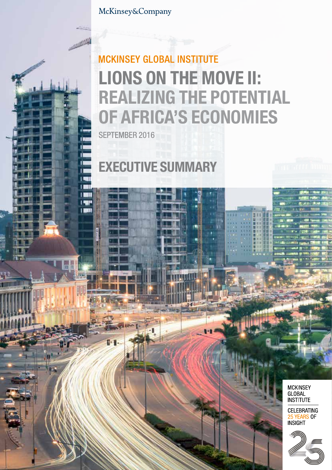McKinsey&Company

# **MCKINSEY GLOBAL INSTITUTE** LIONS ON THE MOVE II: REALIZING THE POTENTIAL OF AFRICA'S ECONOMIES

SEPTEMBER 2016

n Ú.  $\overline{1}$  $\overline{\phantom{a}}$ T  $1801$ **I SUP I BATE** 

EXECUTIVE SUMMARY

**MCKINSEY** GLOBAL<br>INSTITUTE

**CELEBRATING ELLEDITATING**<br>25 YEARS OF

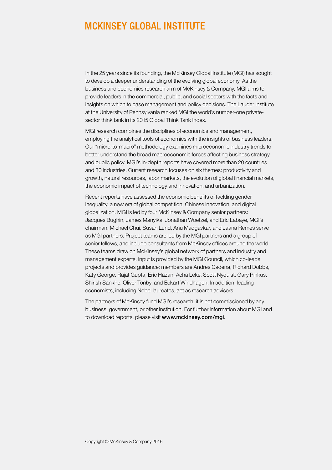## **MCKINSEY GLOBAL INSTITUTE**

In the 25 years since its founding, the McKinsey Global Institute (MGI) has sought to develop a deeper understanding of the evolving global economy. As the business and economics research arm of McKinsey & Company, MGI aims to provide leaders in the commercial, public, and social sectors with the facts and insights on which to base management and policy decisions. The Lauder Institute at the University of Pennsylvania ranked MGI the world's number-one privatesector think tank in its 2015 Global Think Tank Index.

MGI research combines the disciplines of economics and management, employing the analytical tools of economics with the insights of business leaders. Our "micro-to-macro" methodology examines microeconomic industry trends to better understand the broad macroeconomic forces affecting business strategy and public policy. MGI's in-depth reports have covered more than 20 countries and 30 industries. Current research focuses on six themes: productivity and growth, natural resources, labor markets, the evolution of global financial markets, the economic impact of technology and innovation, and urbanization.

Recent reports have assessed the economic benefits of tackling gender inequality, a new era of global competition, Chinese innovation, and digital globalization. MGI is led by four McKinsey & Company senior partners: Jacques Bughin, James Manyika, Jonathan Woetzel, and Eric Labaye, MGI's chairman. Michael Chui, Susan Lund, Anu Madgavkar, and Jaana Remes serve as MGI partners. Project teams are led by the MGI partners and a group of senior fellows, and include consultants from McKinsey offices around the world. These teams draw on McKinsey's global network of partners and industry and management experts. Input is provided by the MGI Council, which co-leads projects and provides guidance; members are Andres Cadena, Richard Dobbs, Katy George, Rajat Gupta, Eric Hazan, Acha Leke, Scott Nyquist, Gary Pinkus, Shirish Sankhe, Oliver Tonby, and Eckart Windhagen. In addition, leading economists, including Nobel laureates, act as research advisers.

The partners of McKinsey fund MGI's research; it is not commissioned by any business, government, or other institution. For further information about MGI and to download reports, please visit www.mckinsey.com/mgi.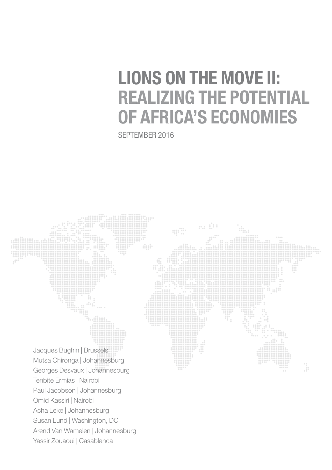# LIONS ON THE MOVE II: REALIZING THE POTENTIAL OF AFRICA'S ECONOMIES

SEPTEMBER 2016

Jacques Bughin | Brussels Mutsa Chironga | Johannesburg Georges Desvaux | Johannesburg Tenbite Ermias | Nairobi Paul Jacobson | Johannesburg Omid Kassiri | Nairobi Acha Leke | Johannesburg Susan Lund | Washington, DC Arend Van Wamelen | Johannesburg Yassir Zouaoui | Casablanca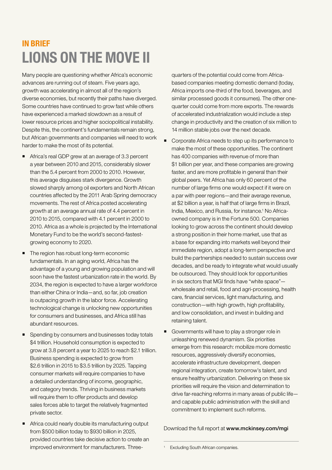## IN BRIEF LIONS ON THE MOVE II

Many people are questioning whether Africa's economic advances are running out of steam. Five years ago, growth was accelerating in almost all of the region's diverse economies, but recently their paths have diverged. Some countries have continued to grow fast while others have experienced a marked slowdown as a result of lower resource prices and higher sociopolitical instability. Despite this, the continent's fundamentals remain strong, but African governments and companies will need to work harder to make the most of its potential.

- Africa's real GDP grew at an average of 3.3 percent a year between 2010 and 2015, considerably slower than the 5.4 percent from 2000 to 2010. However, this average disguises stark divergence. Growth slowed sharply among oil exporters and North African countries affected by the 2011 Arab Spring democracy movements. The rest of Africa posted accelerating growth at an average annual rate of 4.4 percent in 2010 to 2015, compared with 4.1 percent in 2000 to 2010. Africa as a whole is projected by the International Monetary Fund to be the world's second-fastestgrowing economy to 2020.
- The region has robust long-term economic fundamentals. In an aging world, Africa has the advantage of a young and growing population and will soon have the fastest urbanization rate in the world. By 2034, the region is expected to have a larger workforce than either China or India—and, so far, job creation is outpacing growth in the labor force. Accelerating technological change is unlocking new opportunities for consumers and businesses, and Africa still has abundant resources.
- Spending by consumers and businesses today totals \$4 trillion. Household consumption is expected to grow at 3.8 percent a year to 2025 to reach \$2.1 trillion. Business spending is expected to grow from \$2.6 trillion in 2015 to \$3.5 trillion by 2025. Tapping consumer markets will require companies to have a detailed understanding of income, geographic, and category trends. Thriving in business markets will require them to offer products and develop sales forces able to target the relatively fragmented private sector.
- **Africa could nearly double its manufacturing output** from \$500 billion today to \$930 billion in 2025, provided countries take decisive action to create an improved environment for manufacturers. Three-

quarters of the potential could come from Africabased companies meeting domestic demand (today, Africa imports one-third of the food, beverages, and similar processed goods it consumes). The other onequarter could come from more exports. The rewards of accelerated industrialization would include a step change in productivity and the creation of six million to 14 million stable jobs over the next decade.

- Corporate Africa needs to step up its performance to make the most of these opportunities. The continent has 400 companies with revenue of more than \$1 billion per year, and these companies are growing faster, and are more profitable in general than their global peers. Yet Africa has only 60 percent of the number of large firms one would expect if it were on a par with peer regions—and their average revenue, at \$2 billion a year, is half that of large firms in Brazil, India, Mexico, and Russia, for instance.<sup>1</sup> No Africaowned company is in the Fortune 500. Companies looking to grow across the continent should develop a strong position in their home market, use that as a base for expanding into markets well beyond their immediate region, adopt a long-term perspective and build the partnerships needed to sustain success over decades, and be ready to integrate what would usually be outsourced. They should look for opportunities in six sectors that MGI finds have "white space" wholesale and retail, food and agri-processing, health care, financial services, light manufacturing, and construction—with high growth, high profitability, and low consolidation, and invest in building and retaining talent.
- Governments will have to play a stronger role in unleashing renewed dynamism. Six priorities emerge from this research: mobilize more domestic resources, aggressively diversify economies, accelerate infrastructure development, deepen regional integration, create tomorrow's talent, and ensure healthy urbanization. Delivering on these six priorities will require the vision and determination to drive far-reaching reforms in many areas of public life and capable public administration with the skill and commitment to implement such reforms.

Download the full report at [www.mckinsey.com/mgi](http://www.mckinsey.com/mgi)

<sup>&</sup>lt;sup>1</sup> Excluding South African companies.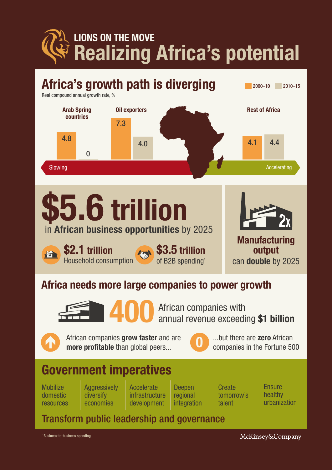LIONS ON THE MOVE Realizing Africa's potential



1 Business-to-business spending

McKinsey&Company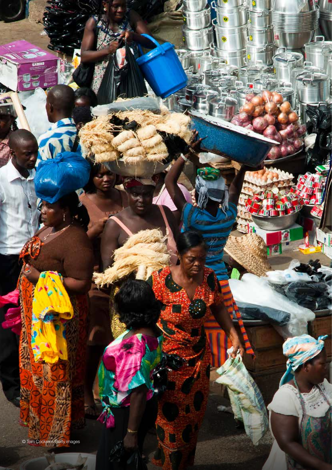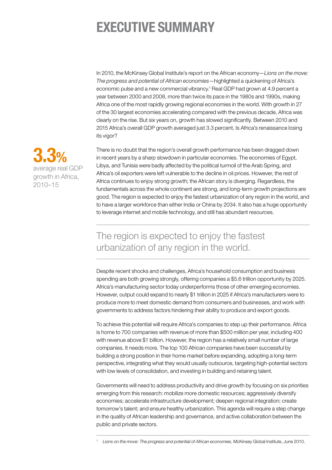## EXECUTIVE SUMMARY

In 2010, the McKinsey Global Institute's report on the African economy—*Lions on the move: The progress and potential of African economies*—highlighted a quickening of Africa's economic pulse and a new commercial vibrancy.<sup>1</sup> Real GDP had grown at 4.9 percent a year between 2000 and 2008, more than twice its pace in the 1980s and 1990s, making Africa one of the most rapidly growing regional economies in the world. With growth in 27 of the 30 largest economies accelerating compared with the previous decade, Africa was clearly on the rise. But six years on, growth has slowed significantly. Between 2010 and 2015 Africa's overall GDP growth averaged just 3.3 percent. Is Africa's renaissance losing its vigor?

There is no doubt that the region's overall growth performance has been dragged down in recent years by a sharp slowdown in particular economies. The economies of Egypt, Libya, and Tunisia were badly affected by the political turmoil of the Arab Spring, and Africa's oil exporters were left vulnerable to the decline in oil prices. However, the rest of Africa continues to enjoy strong growth; the African story is diverging. Regardless, the fundamentals across the whole continent are strong, and long-term growth projections are good. The region is expected to enjoy the fastest urbanization of any region in the world, and to have a larger workforce than either India or China by 2034. It also has a huge opportunity to leverage internet and mobile technology, and still has abundant resources.

## The region is expected to enjoy the fastest urbanization of any region in the world.

Despite recent shocks and challenges, Africa's household consumption and business spending are both growing strongly, offering companies a \$5.6 trillion opportunity by 2025. Africa's manufacturing sector today underperforms those of other emerging economies. However, output could expand to nearly \$1 trillion in 2025 if Africa's manufacturers were to produce more to meet domestic demand from consumers and businesses, and work with governments to address factors hindering their ability to produce and export goods.

To achieve this potential will require Africa's companies to step up their performance. Africa is home to 700 companies with revenue of more than \$500 million per year, including 400 with revenue above \$1 billion. However, the region has a relatively small number of large companies. It needs more. The top 100 African companies have been successful by building a strong position in their home market before expanding, adopting a long-term perspective, integrating what they would usually outsource, targeting high-potential sectors with low levels of consolidation, and investing in building and retaining talent.

Governments will need to address productivity and drive growth by focusing on six priorities emerging from this research: mobilize more domestic resources; aggressively diversify economies; accelerate infrastructure development; deepen regional integration; create tomorrow's talent; and ensure healthy urbanization. This agenda will require a step change in the quality of African leadership and governance, and active collaboration between the public and private sectors.



<sup>1</sup> *Lions on the move: The progress and potential of African economies*, McKinsey Global Institute, June 2010.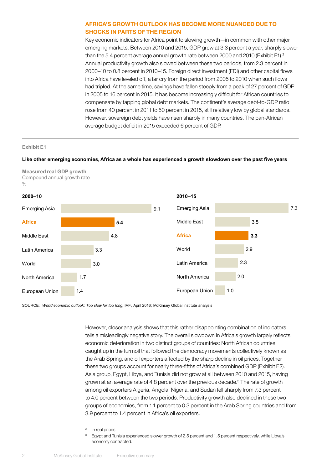#### AFRICA'S GROWTH OUTLOOK HAS BECOME MORE NUANCED DUE TO SHOCKS IN PARTS OF THE REGION

Key economic indicators for Africa point to slowing growth—in common with other major emerging markets. Between 2010 and 2015, GDP grew at 3.3 percent a year, sharply slower than the 5.4 percent average annual growth rate between 2000 and 2010 (Exhibit E1).<sup>2</sup> Annual productivity growth also slowed between these two periods, from 2.3 percent in 2000–10 to 0.8 percent in 2010–15. Foreign direct investment (FDI) and other capital flows into Africa have leveled off, a far cry from the period from 2005 to 2010 when such flows had tripled. At the same time, savings have fallen steeply from a peak of 27 percent of GDP in 2005 to 16 percent in 2015. It has become increasingly difficult for African countries to compensate by tapping global debt markets. The continent's average debt-to-GDP ratio rose from 40 percent in 2011 to 50 percent in 2015, still relatively low by global standards. However, sovereign debt yields have risen sharply in many countries. The pan-African average budget deficit in 2015 exceeded 6 percent of GDP.

#### **Exhibit E1**

#### **Like other emerging economies, Africa as a whole has experienced a growth slowdown over the past five years**

**Measured real GDP growth** Compound annual growth rate  $\frac{0}{0}$ 



SOURCE: World economic outlook: Too slow for too long, IMF, April 2016; McKinsey Global Institute analysis

However, closer analysis shows that this rather disappointing combination of indicators tells a misleadingly negative story. The overall slowdown in Africa's growth largely reflects economic deterioration in two distinct groups of countries: North African countries caught up in the turmoil that followed the democracy movements collectively known as the Arab Spring, and oil exporters affected by the sharp decline in oil prices. Together these two groups account for nearly three-fifths of Africa's combined GDP (Exhibit E2). As a group, Egypt, Libya, and Tunisia did not grow at all between 2010 and 2015, having grown at an average rate of 4.8 percent over the previous decade.<sup>3</sup> The rate of growth among oil exporters Algeria, Angola, Nigeria, and Sudan fell sharply from 7.3 percent to 4.0 percent between the two periods. Productivity growth also declined in these two groups of economies, from 1.1 percent to 0.3 percent in the Arab Spring countries and from 3.9 percent to 1.4 percent in Africa's oil exporters.

<sup>&</sup>lt;sup>2</sup> In real prices.

<sup>3</sup> Egypt and Tunisia experienced slower growth of 2.5 percent and 1.5 percent respectively, while Libya's economy contracted.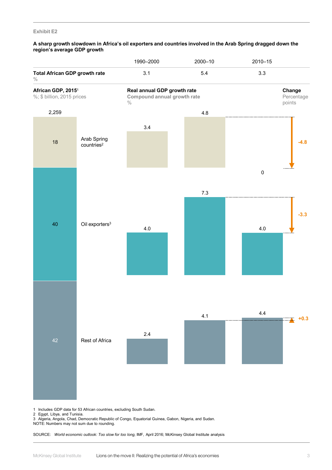#### **Exhibit E2**

#### **A sharp growth slowdown in Africa's oil exporters and countries involved in the Arab Spring dragged down the region's average GDP growth**



1 Includes GDP data for 53 African countries, excluding South Sudan.

2 Egypt, Libya, and Tunisia.

3 Algeria, Angola, Chad, Democratic Republic of Congo, Equatorial Guinea, Gabon, Nigeria, and Sudan.

NOTE: Numbers may not sum due to rounding.

SOURCE: World economic outlook: Too slow for too long, IMF, April 2016; McKinsey Global Institute analysis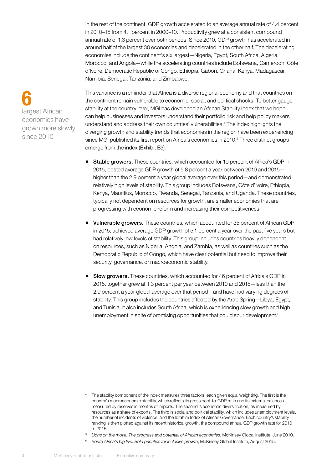In the rest of the continent, GDP growth accelerated to an average annual rate of 4.4 percent in 2010–15 from 4.1 percent in 2000–10. Productivity grew at a consistent compound annual rate of 1.3 percent over both periods. Since 2010, GDP growth has accelerated in around half of the largest 30 economies and decelerated in the other half. The decelerating economies include the continent's six largest—Nigeria, Egypt, South Africa, Algeria, Morocco, and Angola—while the accelerating countries include Botswana, Cameroon, Côte d'Ivoire, Democratic Republic of Congo, Ethiopia, Gabon, Ghana, Kenya, Madagascar, Namibia, Senegal, Tanzania, and Zimbabwe.

This variance is a reminder that Africa is a diverse regional economy and that countries on the continent remain vulnerable to economic, social, and political shocks. To better gauge stability at the country level, MGI has developed an African Stability Index that we hope can help businesses and investors understand their portfolio risk and help policy makers understand and address their own countries' vulnerabilities.4 The index highlights the diverging growth and stability trends that economies in the region have been experiencing since MGI published its first report on Africa's economies in 2010.<sup>5</sup> Three distinct groups emerge from the index (Exhibit E3).

- **Stable growers.** These countries, which accounted for 19 percent of Africa's GDP in 2015, posted average GDP growth of 5.8 percent a year between 2010 and 2015 higher than the 2.9 percent a year global average over this period—and demonstrated relatively high levels of stability. This group includes Botswana, Côte d'Ivoire, Ethiopia, Kenya, Mauritius, Morocco, Rwanda, Senegal, Tanzania, and Uganda. These countries, typically not dependent on resources for growth, are smaller economies that are progressing with economic reform and increasing their competitiveness.
- Vulnerable growers. These countries, which accounted for 35 percent of African GDP in 2015, achieved average GDP growth of 5.1 percent a year over the past five years but had relatively low levels of stability. This group includes countries heavily dependent on resources, such as Nigeria, Angola, and Zambia, as well as countries such as the Democratic Republic of Congo, which have clear potential but need to improve their security, governance, or macroeconomic stability.
- **Slow growers.** These countries, which accounted for 46 percent of Africa's GDP in 2015, together grew at 1.3 percent per year between 2010 and 2015—less than the 2.9 percent a year global average over that period—and have had varying degrees of stability. This group includes the countries affected by the Arab Spring—Libya, Egypt, and Tunisia. It also includes South Africa, which is experiencing slow growth and high unemployment in spite of promising opportunities that could spur development.<sup>6</sup>

- <sup>5</sup> *Lions on the move: The progress and potential of African economies*, McKinsey Global Institute, June 2010.
- <sup>6</sup> South Africa's big five: Bold priorities for inclusive growth, McKinsey Global Institute, August 2015.

### 6 largest African economies have grown more slowly since 2010

<sup>&</sup>lt;sup>4</sup> The stability component of the index measures three factors, each given equal weighting. The first is the country's macroeconomic stability, which reflects its gross debt-to-GDP ratio and its external balances measured by reserves in months of imports. The second is economic diversification, as measured by resources as a share of exports. The third is social and political stability, which includes unemployment levels, the number of incidents of violence, and the Ibrahim Index of African Governance. Each country's stability ranking is then plotted against its recent historical growth, the compound annual GDP growth rate for 2010 to 2015.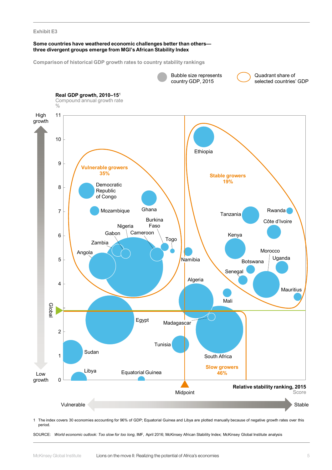#### **Exhibit E3**

#### **Some countries have weathered economic challenges better than others three divergent groups emerge from MGI's African Stability Index**

**Comparison of historical GDP growth rates to country stability rankings**



1 The index covers 30 economies accounting for 96% of GDP; Equatorial Guinea and Libya are plotted manually because of negative growth rates over this period.

SOURCE: *World economic outlook: Too slow for too long,* IMF, April 2016; McKinsey African Stability Index; McKinsey Global Institute analysis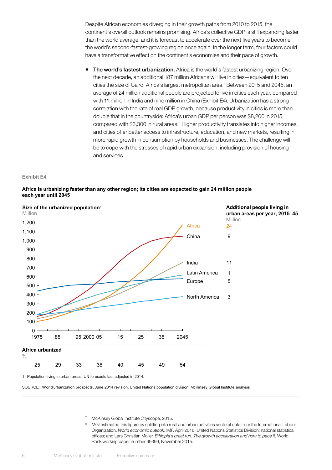Despite African economies diverging in their growth paths from 2010 to 2015, the continent's overall outlook remains promising. Africa's collective GDP is still expanding faster than the world average, and it is forecast to accelerate over the next five years to become the world's second-fastest-growing region once again. In the longer term, four factors could have a transformative effect on the continent's economies and their pace of growth.

The world's fastest urbanization. Africa is the world's fastest urbanizing region. Over the next decade, an additional 187 million Africans will live in cities—equivalent to ten cities the size of Cairo, Africa's largest metropolitan area.<sup>7</sup> Between 2015 and 2045, an average of 24 million additional people are projected to live in cities each year, compared with 11 million in India and nine million in China (Exhibit E4). Urbanization has a strong correlation with the rate of real GDP growth, because productivity in cities is more than double that in the countryside: Africa's urban GDP per person was \$8,200 in 2015, compared with \$3,300 in rural areas.<sup>8</sup> Higher productivity translates into higher incomes, and cities offer better access to infrastructure, education, and new markets, resulting in more rapid growth in consumption by households and businesses. The challenge will be to cope with the stresses of rapid urban expansion, including provision of housing and services.

#### **Exhibit E4**



#### **Africa is urbanizing faster than any other region; its cities are expected to gain 24 million people each year until 2045**

1 Population living in urban areas. UN forecasts last adjusted in 2014.

SOURCE: World urbanization prospects, June 2014 revision, United Nations population division; McKinsey Global Institute analysis

<sup>7</sup> McKinsey Global Institute Cityscope, 2015.

' McKinsey Giobal Institute Cityscope, 2015.<br><sup>8</sup> MGI estimated this figure by splitting into rural and urban activities sectoral data from the International Labour Organization, *World economic outlook*, IMF, April 2016; United Nations Statistics Division; national statistical offices; and Lars Christian Moller, *Ethiopia's great run: The growth acceleration and how to pace it*, World Bank working paper number 99399, November 2015.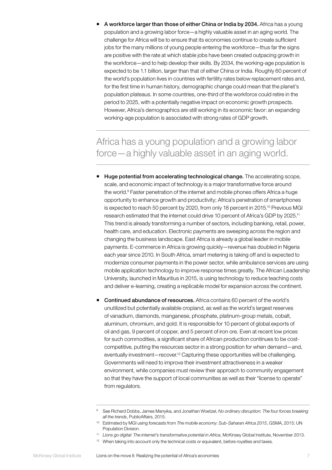A workforce larger than those of either China or India by 2034. Africa has a young population and a growing labor force—a highly valuable asset in an aging world. The challenge for Africa will be to ensure that its economies continue to create sufficient jobs for the many millions of young people entering the workforce—thus far the signs are positive with the rate at which stable jobs have been created outpacing growth in the workforce—and to help develop their skills. By 2034, the working-age population is expected to be 1.1 billion, larger than that of either China or India. Roughly 60 percent of the world's population lives in countries with fertility rates below replacement rates and, for the first time in human history, demographic change could mean that the planet's population plateaus. In some countries, one-third of the workforce could retire in the period to 2025, with a potentially negative impact on economic growth prospects. However, Africa's demographics are still working in its economic favor: an expanding working-age population is associated with strong rates of GDP growth.

## Africa has a young population and a growing labor force—a highly valuable asset in an aging world.

- Huge potential from accelerating technological change. The accelerating scope, scale, and economic impact of technology is a major transformative force around the world.<sup>9</sup> Faster penetration of the internet and mobile phones offers Africa a huge opportunity to enhance growth and productivity; Africa's penetration of smartphones is expected to reach 50 percent by 2020, from only 18 percent in 2015.<sup>10</sup> Previous MGI research estimated that the internet could drive 10 percent of Africa's GDP by 2025.11 This trend is already transforming a number of sectors, including banking, retail, power, health care, and education. Electronic payments are sweeping across the region and changing the business landscape. East Africa is already a global leader in mobile payments. E-commerce in Africa is growing quickly—revenue has doubled in Nigeria each year since 2010. In South Africa, smart metering is taking off and is expected to modernize consumer payments in the power sector, while ambulance services are using mobile application technology to improve response times greatly. The African Leadership University, launched in Mauritius in 2015, is using technology to reduce teaching costs and deliver e-learning, creating a replicable model for expansion across the continent.
- Continued abundance of resources. Africa contains 60 percent of the world's unutilized but potentially available cropland, as well as the world's largest reserves of vanadium, diamonds, manganese, phosphate, platinum-group metals, cobalt, aluminum, chromium, and gold. It is responsible for 10 percent of global exports of oil and gas, 9 percent of copper, and 5 percent of iron ore. Even at recent low prices for such commodities, a significant share of African production continues to be costcompetitive, putting the resources sector in a strong position for when demand—and, eventually investment—recover.12 Capturing these opportunities will be challenging. Governments will need to improve their investment attractiveness in a weaker environment, while companies must review their approach to community engagement so that they have the support of local communities as well as their "license to operate" from regulators.

<sup>9</sup> See Richard Dobbs, James Manyika, and Jonathan Woetzel, *No ordinary disruption: The four forces breaking all the trends*, PublicAffairs, 2015.

<sup>10</sup> Estimated by MGI using forecasts from *The mobile economy: Sub-Saharan Africa 2015*, GSMA, 2015; UN Population Division.

<sup>11</sup> *Lions go digital: The internet's transformative potential in Africa*, McKinsey Global Institute, November 2013.

<sup>&</sup>lt;sup>12</sup> When taking into account only the technical costs or equivalent, before royalties and taxes.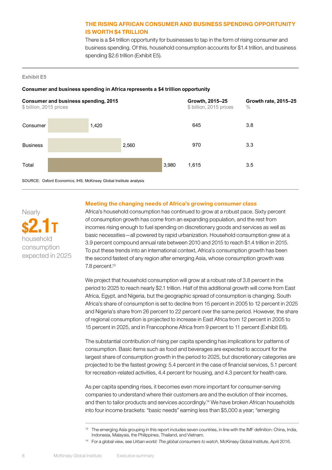#### THE RISING AFRICAN CONSUMER AND BUSINESS SPENDING OPPORTUNITY IS WORTH \$4 TRILLION

There is a \$4 trillion opportunity for businesses to tap in the form of rising consumer and business spending. Of this, household consumption accounts for \$1.4 trillion, and business spending \$2.6 trillion (Exhibit E5).

#### **Exhibit E5**

#### **Consumer and business spending in Africa represents a \$4 trillion opportunity**



SOURCE: Oxford Economics; IHS; McKinsey Global Institute analysis

**Nearly** 

\$2.1T household consumption expected in 2025

#### Meeting the changing needs of Africa's growing consumer class

Africa's household consumption has continued to grow at a robust pace. Sixty percent of consumption growth has come from an expanding population, and the rest from incomes rising enough to fuel spending on discretionary goods and services as well as basic necessities—all powered by rapid urbanization. Household consumption grew at a 3.9 percent compound annual rate between 2010 and 2015 to reach \$1.4 trillion in 2015. To put these trends into an international context, Africa's consumption growth has been the second fastest of any region after emerging Asia, whose consumption growth was 7.8 percent.13

We project that household consumption will grow at a robust rate of 3.8 percent in the period to 2025 to reach nearly \$2.1 trillion. Half of this additional growth will come from East Africa, Egypt, and Nigeria, but the geographic spread of consumption is changing. South Africa's share of consumption is set to decline from 15 percent in 2005 to 12 percent in 2025 and Nigeria's share from 26 percent to 22 percent over the same period. However, the share of regional consumption is projected to increase in East Africa from 12 percent in 2005 to 15 percent in 2025, and in Francophone Africa from 9 percent to 11 percent (Exhibit E6).

The substantial contribution of rising per capita spending has implications for patterns of consumption. Basic items such as food and beverages are expected to account for the largest share of consumption growth in the period to 2025, but discretionary categories are projected to be the fastest growing: 5.4 percent in the case of financial services, 5.1 percent for recreation-related activities, 4.4 percent for housing, and 4.3 percent for health care.

As per capita spending rises, it becomes even more important for consumer-serving companies to understand where their customers are and the evolution of their incomes, and then to tailor products and services accordingly.14 We have broken African households into four income brackets: "basic needs" earning less than \$5,000 a year; "emerging

<sup>&</sup>lt;sup>13</sup> The emerging Asia grouping in this report includes seven countries, in line with the IMF definition: China, India, Indonesia, Malaysia, the Philippines, Thailand, and Vietnam.

<sup>14</sup> For a global view, see *Urban world: The global consumers to watch*, McKinsey Global Institute, April 2016.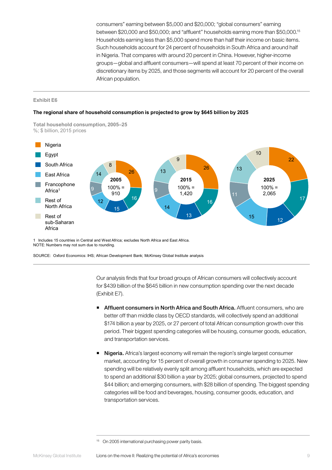consumers" earning between \$5,000 and \$20,000; "global consumers" earning between \$20,000 and \$50,000; and "affluent" households earning more than \$50,000.15 Households earning less than \$5,000 spend more than half their income on basic items. Such households account for 24 percent of households in South Africa and around half in Nigeria. That compares with around 20 percent in China. However, higher-income groups—global and affluent consumers—will spend at least 70 percent of their income on discretionary items by 2025, and those segments will account for 20 percent of the overall African population.

#### **Exhibit E6**

#### **The regional share of household consumption is projected to grow by \$645 billion by 2025**

**Total household consumption, 2005–25** %; \$ billion, 2015 prices



1 Includes 15 countries in Central and West Africa; excludes North Africa and East Africa. NOTE: Numbers may not sum due to rounding.

SOURCE: Oxford Economics: IHS; African Development Bank; McKinsey Global Institute analysis

Our analysis finds that four broad groups of African consumers will collectively account for \$439 billion of the \$645 billion in new consumption spending over the next decade  $(Exhibit E7)$ .

- **Affluent consumers in North Africa and South Africa.** Affluent consumers, who are better off than middle class by OECD standards, will collectively spend an additional \$174 billion a year by 2025, or 27 percent of total African consumption growth over this period. Their biggest spending categories will be housing, consumer goods, education, and transportation services.
- Nigeria. Africa's largest economy will remain the region's single largest consumer market, accounting for 15 percent of overall growth in consumer spending to 2025. New spending will be relatively evenly split among affluent households, which are expected to spend an additional \$30 billion a year by 2025; global consumers, projected to spend \$44 billion; and emerging consumers, with \$28 billion of spending. The biggest spending categories will be food and beverages, housing, consumer goods, education, and transportation services.

<sup>&</sup>lt;sup>15</sup> On 2005 international purchasing power parity basis.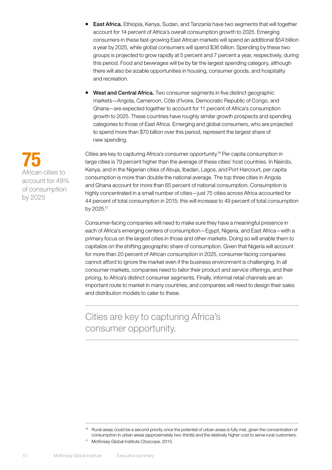- **East Africa.** Ethiopia, Kenya, Sudan, and Tanzania have two segments that will together account for 14 percent of Africa's overall consumption growth to 2025. Emerging consumers in these fast-growing East African markets will spend an additional \$54 billion a year by 2025, while global consumers will spend \$36 billion. Spending by these two groups is projected to grow rapidly at 5 percent and 7 percent a year, respectively, during this period. Food and beverages will be by far the largest spending category, although there will also be sizable opportunities in housing, consumer goods, and hospitality and recreation.
- West and Central Africa. Two consumer segments in five distinct geographic markets—Angola, Cameroon, Côte d'Ivoire, Democratic Republic of Congo, and Ghana—are expected together to account for 11 percent of Africa's consumption growth to 2025. These countries have roughly similar growth prospects and spending categories to those of East Africa. Emerging and global consumers, who are projected to spend more than \$70 billion over this period, represent the largest share of new spending.

Cities are key to capturing Africa's consumer opportunity.16 Per capita consumption in large cities is 79 percent higher than the average of these cities' host countries. In Nairobi, Kenya, and in the Nigerian cities of Abuja, Ibadan, Lagos, and Port Harcourt, per capita consumption is more than double the national average. The top three cities in Angola and Ghana account for more than 65 percent of national consumption. Consumption is highly concentrated in a small number of cities—just 75 cities across Africa accounted for 44 percent of total consumption in 2015; this will increase to 49 percent of total consumption by 2025.17

Consumer-facing companies will need to make sure they have a meaningful presence in each of Africa's emerging centers of consumption—Egypt, Nigeria, and East Africa—with a primary focus on the largest cities in those and other markets. Doing so will enable them to capitalize on the shifting geographic share of consumption. Given that Nigeria will account for more than 20 percent of African consumption in 2025, consumer-facing companies cannot afford to ignore the market even if the business environment is challenging. In all consumer markets, companies need to tailor their product and service offerings, and their pricing, to Africa's distinct consumer segments. Finally, informal retail channels are an important route to market in many countries, and companies will need to design their sales and distribution models to cater to these.

Cities are key to capturing Africa's consumer opportunity.

<sup>17</sup> McKinsey Global Institute Cityscope, 2015.

75 African cities to account for 49% of consumption by 2025

<sup>&</sup>lt;sup>16</sup> Rural areas could be a second priority once the potential of urban areas is fully met, given the concentration of consumption in urban areas (approximately two-thirds) and the relatively higher cost to serve rural customers.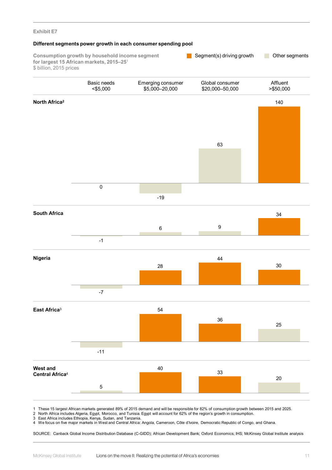### **Exhibit E7 Consumption growth by household income segment for largest 15 African markets, 2015–25**<sup>1</sup> \$ billion, 2015 prices 30 44 28 -7 140  $\overline{0}$ -19 63 36 54 -11 25 33 40 20 5 34 -1 6 9 **South Africa North Africa2 Nigeria West and Central Africa**<sup>4</sup> **East Africa**<sup>3</sup> **Different segments power growth in each consumer spending pool** Segment(s) driving growth **Dual Conventsion** Other segments Basic needs <\$5,000 Emerging consumer \$5,000–20,000 Global consumer \$20,000–50,000 Affluent >\$50,000

1 These 15 largest African markets generated 89% of 2015 demand and will be responsible for 82% of consumption growth between 2015 and 2025.

2 North Africa includes Algeria, Egypt, Morocco, and Tunisia. Egypt will account for 62% of the region's growth in consumption.

3 East Africa includes Ethiopia, Kenya, Sudan, and Tanzania.

4 We focus on five major markets in West and Central Africa: Angola, Cameroon, Côte d'Ivoire, Democratic Republic of Congo, and Ghana.

SOURCE: Canback Global Income Distribution Database (C-GIDD); African Development Bank; Oxford Economics; IHS; McKinsey Global Institute analysis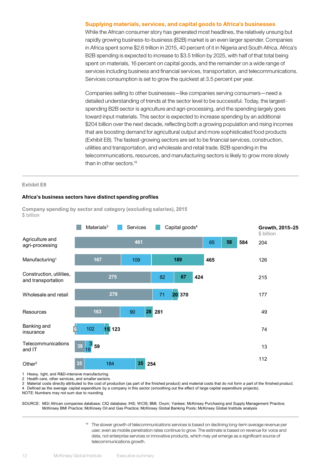#### Supplying materials, services, and capital goods to Africa's businesses

While the African consumer story has generated most headlines, the relatively unsung but rapidly growing business-to-business (B2B) market is an even larger spender. Companies in Africa spent some \$2.6 trillion in 2015, 40 percent of it in Nigeria and South Africa. Africa's B2B spending is expected to increase to \$3.5 trillion by 2025, with half of that total being spent on materials, 16 percent on capital goods, and the remainder on a wide range of services including business and financial services, transportation, and telecommunications. Services consumption is set to grow the quickest at 3.5 percent per year.

Companies selling to other businesses—like companies serving consumers—need a detailed understanding of trends at the sector level to be successful. Today, the largestspending B2B sector is agriculture and agri-processing, and the spending largely goes toward input materials. This sector is expected to increase spending by an additional \$204 billion over the next decade, reflecting both a growing population and rising incomes that are boosting demand for agricultural output and more sophisticated food products (Exhibit E8). The fastest-growing sectors are set to be financial services, construction, utilities and transportation, and wholesale and retail trade. B2B spending in the telecommunications, resources, and manufacturing sectors is likely to grow more slowly than in other sectors.18

#### **Exhibit E8**

#### **Africa's business sectors have distinct spending profiles**

**Company spending by sector and category (excluding salaries), 2015** \$ billion



1 Heavy, light, and R&D-intensive manufacturing.

2 Health care, other services, and smaller sectors.

3 Material costs directly attributed to the cost of production (as part of the finished product) and material costs that do not form a part of the finished product.

4 Defined as the average capital expenditure by a company in this sector (smoothing out the effect of large capital expenditure projects).

NOTE: Numbers may not sum due to rounding.

SOURCE: MGI African companies database; CIQ database; IHS; WCIS; BMI; Ovum; Yankee; McKinsey Purchasing and Supply Management Practice; McKinsey BMI Practice; McKinsey Oil and Gas Practice; McKinsey Global Banking Pools; McKinsey Global Institute analysis

> <sup>18</sup> The slower growth of telecommunications services is based on declining long-term average revenue per user, even as mobile penetration rates continue to grow. The estimate is based on revenue for voice and data, not enterprise services or innovative products, which may yet emerge as a significant source of telecommunications growth.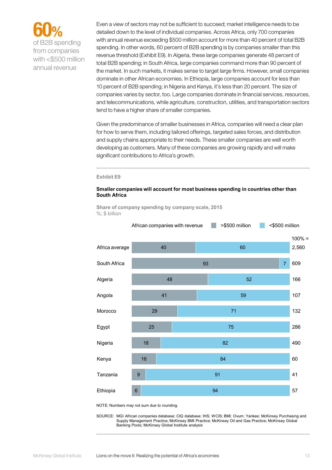

from companies with <\$500 million annual revenue

Even a view of sectors may not be sufficient to succeed; market intelligence needs to be detailed down to the level of individual companies. Across Africa, only 700 companies with annual revenue exceeding \$500 million account for more than 40 percent of total B2B spending. In other words, 60 percent of B2B spending is by companies smaller than this revenue threshold (Exhibit E9). In Algeria, these large companies generate 48 percent of total B2B spending; in South Africa, large companies command more than 90 percent of the market. In such markets, it makes sense to target large firms. However, small companies dominate in other African economies. In Ethiopia, large companies account for less than 10 percent of B2B spending; in Nigeria and Kenya, it's less than 20 percent. The size of companies varies by sector, too. Large companies dominate in financial services, resources, and telecommunications, while agriculture, construction, utilities, and transportation sectors tend to have a higher share of smaller companies.

Given the predominance of smaller businesses in Africa, companies will need a clear plan for how to serve them, including tailored offerings, targeted sales forces, and distribution and supply chains appropriate to their needs. These smaller companies are well worth developing as customers. Many of these companies are growing rapidly and will make significant contributions to Africa's growth.

#### **Exhibit E9**

#### **Smaller companies will account for most business spending in countries other than South Africa**

**Share of company spending by company scale, 2015** %: \$ billion



NOTE: Numbers may not sum due to rounding.

SOURCE: MGI African companies database; CIQ database; IHS; WCIS; BMI; Ovum; Yankee; McKinsey Purchasing and Supply Management Practice; McKinsey BMI Practice; McKinsey Oil and Gas Practice; McKinsey Global Banking Pools; McKinsey Global Institute analysis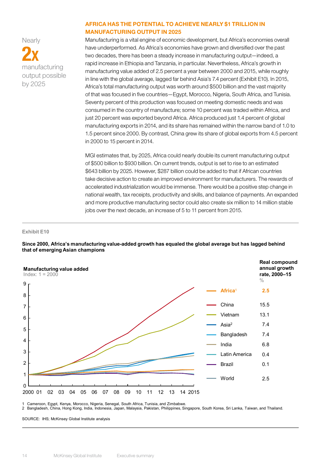**Nearly** 2X manufacturing output possible by 2025

#### AFRICA HAS THE POTENTIAL TO ACHIEVE NEARLY \$1 TRILLION IN MANUFACTURING OUTPUT IN 2025

Manufacturing is a vital engine of economic development, but Africa's economies overall have underperformed. As Africa's economies have grown and diversified over the past two decades, there has been a steady increase in manufacturing output—indeed, a rapid increase in Ethiopia and Tanzania, in particular. Nevertheless, Africa's growth in manufacturing value added of 2.5 percent a year between 2000 and 2015, while roughly in line with the global average, lagged far behind Asia's 7.4 percent (Exhibit E10). In 2015, Africa's total manufacturing output was worth around \$500 billion and the vast majority of that was focused in five countries—Egypt, Morocco, Nigeria, South Africa, and Tunisia. Seventy percent of this production was focused on meeting domestic needs and was consumed in the country of manufacture; some 10 percent was traded within Africa, and just 20 percent was exported beyond Africa. Africa produced just 1.4 percent of global manufacturing exports in 2014, and its share has remained within the narrow band of 1.0 to 1.5 percent since 2000. By contrast, China grew its share of global exports from 4.5 percent in 2000 to 15 percent in 2014.

MGI estimates that, by 2025, Africa could nearly double its current manufacturing output of \$500 billion to \$930 billion. On current trends, output is set to rise to an estimated \$643 billion by 2025. However, \$287 billion could be added to that if African countries take decisive action to create an improved environment for manufacturers. The rewards of accelerated industrialization would be immense. There would be a positive step change in national wealth, tax receipts, productivity and skills, and balance of payments. An expanded and more productive manufacturing sector could also create six million to 14 million stable jobs over the next decade, an increase of 5 to 11 percent from 2015.

#### **Exhibit E10**

**Since 2000, Africa's manufacturing value-added growth has equaled the global average but has lagged behind that of emerging Asian champions**



Cameroon, Egypt, Kenya, Morocco, Nigeria, Senegal, South Africa, Tunisia, and Zimbabwe.

2 Bangladesh, China, Hong Kong, India, Indonesia, Japan, Malaysia, Pakistan, Philippines, Singapore, South Korea, Sri Lanka, Taiwan, and Thailand.

SOURCE: IHS; McKinsey Global Institute analysis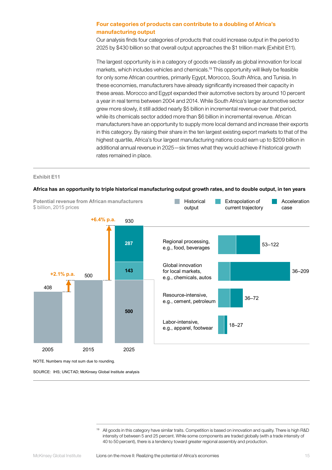#### Four categories of products can contribute to a doubling of Africa's manufacturing output

Our analysis finds four categories of products that could increase output in the period to 2025 by \$430 billion so that overall output approaches the \$1 trillion mark (Exhibit E11).

The largest opportunity is in a category of goods we classify as global innovation for local markets, which includes vehicles and chemicals.19 This opportunity will likely be feasible for only some African countries, primarily Egypt, Morocco, South Africa, and Tunisia. In these economies, manufacturers have already significantly increased their capacity in these areas. Morocco and Egypt expanded their automotive sectors by around 10 percent a year in real terms between 2004 and 2014. While South Africa's larger automotive sector grew more slowly, it still added nearly \$5 billion in incremental revenue over that period, while its chemicals sector added more than \$6 billion in incremental revenue. African manufacturers have an opportunity to supply more local demand and increase their exports in this category. By raising their share in the ten largest existing export markets to that of the highest quartile, Africa's four largest manufacturing nations could earn up to \$209 billion in additional annual revenue in 2025—six times what they would achieve if historical growth rates remained in place.

#### **Exhibit E11**

## **Africa has an opportunity to triple historical manufacturing output growth rates, and to double output, in ten years**



SOURCE: IHS; UNCTAD; McKinsey Global Institute analysis

<sup>&</sup>lt;sup>19</sup> All goods in this category have similar traits. Competition is based on innovation and quality. There is high R&D intensity of between 5 and 25 percent. While some components are traded globally (with a trade intensity of 40 to 50 percent), there is a tendency toward greater regional assembly and production.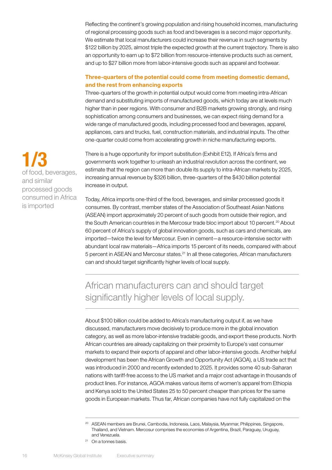Reflecting the continent's growing population and rising household incomes, manufacturing of regional processing goods such as food and beverages is a second major opportunity. We estimate that local manufacturers could increase their revenue in such segments by \$122 billion by 2025, almost triple the expected growth at the current trajectory. There is also an opportunity to earn up to \$72 billion from resource-intensive products such as cement, and up to \$27 billion more from labor-intensive goods such as apparel and footwear.

#### Three-quarters of the potential could come from meeting domestic demand, and the rest from enhancing exports

Three-quarters of the growth in potential output would come from meeting intra-African demand and substituting imports of manufactured goods, which today are at levels much higher than in peer regions. With consumer and B2B markets growing strongly, and rising sophistication among consumers and businesses, we can expect rising demand for a wide range of manufactured goods, including processed food and beverages, apparel, appliances, cars and trucks, fuel, construction materials, and industrial inputs. The other one-quarter could come from accelerating growth in niche manufacturing exports.

There is a huge opportunity for import substitution (Exhibit E12). If Africa's firms and governments work together to unleash an industrial revolution across the continent, we estimate that the region can more than double its supply to intra-African markets by 2025, increasing annual revenue by \$326 billion, three-quarters of the \$430 billion potential increase in output.

Today, Africa imports one-third of the food, beverages, and similar processed goods it consumes. By contrast, member states of the Association of Southeast Asian Nations (ASEAN) import approximately 20 percent of such goods from outside their region, and the South American countries in the Mercosur trade bloc import about 10 percent.<sup>20</sup> About 60 percent of Africa's supply of global innovation goods, such as cars and chemicals, are imported—twice the level for Mercosur. Even in cement—a resource-intensive sector with abundant local raw materials—Africa imports 15 percent of its needs, compared with about 5 percent in ASEAN and Mercosur states.<sup>21</sup> In all these categories, African manufacturers can and should target significantly higher levels of local supply.

## African manufacturers can and should target significantly higher levels of local supply.

About \$100 billion could be added to Africa's manufacturing output if, as we have discussed, manufacturers move decisively to produce more in the global innovation category, as well as more labor-intensive tradable goods, and export these products. North African countries are already capitalizing on their proximity to Europe's vast consumer markets to expand their exports of apparel and other labor-intensive goods. Another helpful development has been the African Growth and Opportunity Act (AGOA), a US trade act that was introduced in 2000 and recently extended to 2025. It provides some 40 sub-Saharan nations with tariff-free access to the US market and a major cost advantage in thousands of product lines. For instance, AGOA makes various items of women's apparel from Ethiopia and Kenya sold to the United States 25 to 50 percent cheaper than prices for the same goods in European markets. Thus far, African companies have not fully capitalized on the

1/3 of food, beverages, and similar processed goods consumed in Africa is imported

<sup>&</sup>lt;sup>20</sup> ASEAN members are Brunei, Cambodia, Indonesia, Laos, Malaysia, Myanmar, Philippines, Singapore, Thailand, and Vietnam. Mercosur comprises the economies of Argentina, Brazil, Paraguay, Uruguay, and Venezuela.

<sup>21</sup> On a tonnes basis.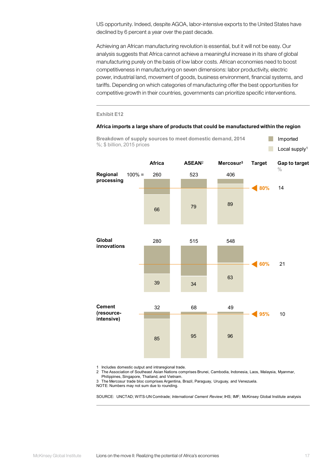US opportunity. Indeed, despite AGOA, labor-intensive exports to the United States have declined by 6 percent a year over the past decade.

Achieving an African manufacturing revolution is essential, but it will not be easy. Our analysis suggests that Africa cannot achieve a meaningful increase in its share of global manufacturing purely on the basis of low labor costs. African economies need to boost competitiveness in manufacturing on seven dimensions: labor productivity, electric power, industrial land, movement of goods, business environment, financial systems, and tariffs. Depending on which categories of manufacturing offer the best opportunities for competitive growth in their countries, governments can prioritize specific interventions.

#### **Exhibit E12**

#### **Africa imports a large share of products that could be manufactured within the region**

**Breakdown of supply sources to meet domestic demand, 2014**



1 Includes domestic output and intraregional trade.

2 The Association of Southeast Asian Nations comprises Brunei, Cambodia, Indonesia, Laos, Malaysia, Myanmar, Philippines, Singapore, Thailand, and Vietnam.

3 The Mercosur trade bloc comprises Argentina, Brazil, Paraguay, Uruguay, and Venezuela.

NOTE: Numbers may not sum due to rounding.

SOURCE: UNCTAD; WITS-UN Comtrade; *International Cement Review*; IHS; IMF; McKinsey Global Institute analysis

Imported

 $\Box$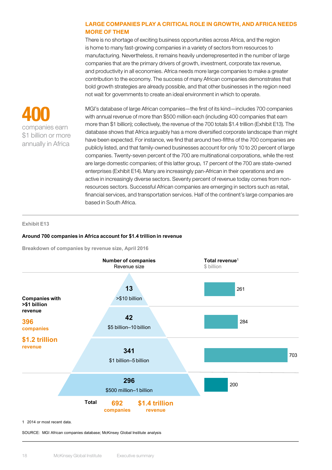#### LARGE COMPANIES PLAY A CRITICAL ROLE IN GROWTH, AND AFRICA NEEDS MORE OF THEM

There is no shortage of exciting business opportunities across Africa, and the region is home to many fast-growing companies in a variety of sectors from resources to manufacturing. Nevertheless, it remains heavily underrepresented in the number of large companies that are the primary drivers of growth, investment, corporate tax revenue, and productivity in all economies. Africa needs more large companies to make a greater contribution to the economy. The success of many African companies demonstrates that bold growth strategies are already possible, and that other businesses in the region need not wait for governments to create an ideal environment in which to operate.



MGI's database of large African companies—the first of its kind—includes 700 companies with annual revenue of more than \$500 million each (including 400 companies that earn more than \$1 billion); collectively, the revenue of the 700 totals \$1.4 trillion (Exhibit E13). The database shows that Africa arguably has a more diversified corporate landscape than might have been expected. For instance, we find that around two-fifths of the 700 companies are publicly listed, and that family-owned businesses account for only 10 to 20 percent of large companies. Twenty-seven percent of the 700 are multinational corporations, while the rest are large domestic companies; of this latter group, 17 percent of the 700 are state-owned enterprises (Exhibit E14). Many are increasingly pan-African in their operations and are active in increasingly diverse sectors. Seventy percent of revenue today comes from nonresources sectors. Successful African companies are emerging in sectors such as retail, financial services, and transportation services. Half of the continent's large companies are based in South Africa.

#### **Exhibit E13**

#### **Around 700 companies in Africa account for \$1.4 trillion in revenue**

**Breakdown of companies by revenue size, April 2016**



SOURCE: MGI African companies database; McKinsey Global Institute analysis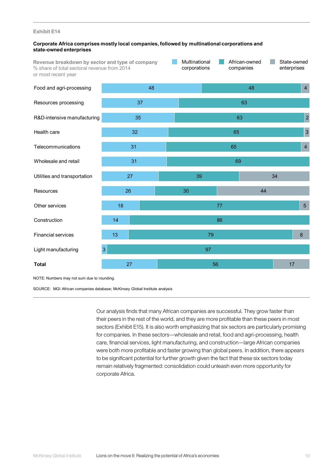#### **Exhibit E14**

#### **Corporate Africa comprises mostly local companies, followed by multinational corporations and state-owned enterprises**

Multinational African-owned State-owned **Revenue breakdown by sector and type of company I** % share of total sectoral revenue from 2014 corporations companies enterprises or most recent year



NOTE: Numbers may not sum due to rounding.

SOURCE: MGI African companies database; McKinsey Global Institute analysis

Our analysis finds that many African companies are successful. They grow faster than their peers in the rest of the world, and they are more profitable than these peers in most sectors (Exhibit E15). It is also worth emphasizing that six sectors are particularly promising for companies. In these sectors—wholesale and retail, food and agri-processing, health care, financial services, light manufacturing, and construction—large African companies were both more profitable and faster growing than global peers. In addition, there appears to be significant potential for further growth given the fact that these six sectors today remain relatively fragmented: consolidation could unleash even more opportunity for corporate Africa.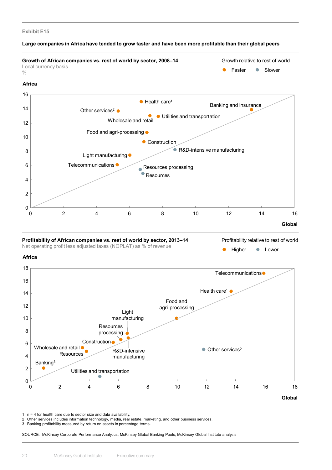#### **Exhibit E15**

#### **Large companies in Africa have tended to grow faster and have been more profitable than their global peers**



**Profitability of African companies vs. rest of world by sector, 2013–14** Net operating profit less adjusted taxes (NOPLAT) as % of revenue

Profitability relative to rest of world

Higher • Lower





 $1$   $n = 4$  for health care due to sector size and data availability.

2 Other services includes information technology, media, real estate, marketing, and other business services.

3 Banking profitability measured by return on assets in percentage terms.

SOURCE: McKinsey Corporate Performance Analytics; McKinsey Global Banking Pools; McKinsey Global Institute analysis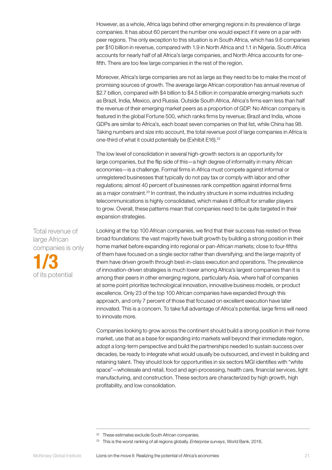However, as a whole, Africa lags behind other emerging regions in its prevalence of large companies. It has about 60 percent the number one would expect if it were on a par with peer regions. The only exception to this situation is in South Africa, which has 9.6 companies per \$10 billion in revenue, compared with 1.9 in North Africa and 1.1 in Nigeria. South Africa accounts for nearly half of all Africa's large companies, and North Africa accounts for onefifth. There are too few large companies in the rest of the region.

Moreover, Africa's large companies are not as large as they need to be to make the most of promising sources of growth. The average large African corporation has annual revenue of \$2.7 billion, compared with \$4 billion to \$4.5 billion in comparable emerging markets such as Brazil, India, Mexico, and Russia. Outside South Africa, Africa's firms earn less than half the revenue of their emerging market peers as a proportion of GDP. No African company is featured in the global Fortune 500, which ranks firms by revenue; Brazil and India, whose GDPs are similar to Africa's, each boast seven companies on that list, while China has 98. Taking numbers and size into account, the total revenue pool of large companies in Africa is one-third of what it could potentially be (Exhibit E16).<sup>22</sup>

The low level of consolidation in several high-growth sectors is an opportunity for large companies, but the flip side of this—a high degree of informality in many African economies—is a challenge. Formal firms in Africa must compete against informal or unregistered businesses that typically do not pay tax or comply with labor and other regulations; almost 40 percent of businesses rank competition against informal firms as a major constraint.<sup>23</sup> In contrast, the industry structure in some industries including telecommunications is highly consolidated, which makes it difficult for smaller players to grow. Overall, these patterns mean that companies need to be quite targeted in their expansion strategies.

Looking at the top 100 African companies, we find that their success has rested on three broad foundations: the vast majority have built growth by building a strong position in their home market before expanding into regional or pan-African markets; close to four-fifths of them have focused on a single sector rather than diversifying; and the large majority of them have driven growth through best-in-class execution and operations. The prevalence of innovation-driven strategies is much lower among Africa's largest companies than it is among their peers in other emerging regions, particularly Asia, where half of companies at some point prioritize technological innovation, innovative business models, or product excellence. Only 23 of the top 100 African companies have expanded through this approach, and only 7 percent of those that focused on excellent execution have later innovated. This is a concern. To take full advantage of Africa's potential, large firms will need to innovate more.

Companies looking to grow across the continent should build a strong position in their home market, use that as a base for expanding into markets well beyond their immediate region, adopt a long-term perspective and build the partnerships needed to sustain success over decades, be ready to integrate what would usually be outsourced, and invest in building and retaining talent. They should look for opportunities in six sectors MGI identifies with "white space"—wholesale and retail, food and agri-processing, health care, financial services, light manufacturing, and construction. These sectors are characterized by high growth, high profitability, and low consolidation.

Total revenue of large African companies is only 1/3 of its potential

<sup>&</sup>lt;sup>22</sup> These estimates exclude South African companies.

<sup>23</sup> This is the worst ranking of all regions globally. *Enterprise surveys*, World Bank, 2016.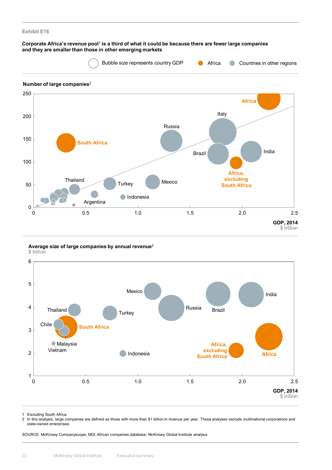

**Average size of large companies by annual revenue**<sup>2</sup> \$ billion



1 Excluding South Africa.

2 In this analysis, large companies are defined as those with more than \$1 billion in revenue per year. These analyses exclude multinational corporations and state-owned enterprises.

SOURCE: McKinsey Companyscope; MGI African companies database; McKinsey Global Institute analysis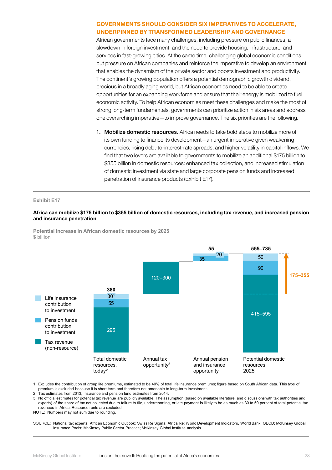#### GOVERNMENTS SHOULD CONSIDER SIX IMPERATIVES TO ACCELERATE, UNDERPINNED BY TRANSFORMED LEADERSHIP AND GOVERNANCE

African governments face many challenges, including pressure on public finances, a slowdown in foreign investment, and the need to provide housing, infrastructure, and services in fast-growing cities. At the same time, challenging global economic conditions put pressure on African companies and reinforce the imperative to develop an environment that enables the dynamism of the private sector and boosts investment and productivity. The continent's growing population offers a potential demographic growth dividend, precious in a broadly aging world, but African economies need to be able to create opportunities for an expanding workforce and ensure that their energy is mobilized to fuel economic activity. To help African economies meet these challenges and make the most of strong long-term fundamentals, governments can prioritize action in six areas and address one overarching imperative—to improve governance. The six priorities are the following.

1. Mobilize domestic resources. Africa needs to take bold steps to mobilize more of its own funding to finance its development—an urgent imperative given weakening currencies, rising debt-to-interest-rate spreads, and higher volatility in capital inflows. We find that two levers are available to governments to mobilize an additional \$175 billion to \$355 billion in domestic resources: enhanced tax collection, and increased stimulation of domestic investment via state and large corporate pension funds and increased penetration of insurance products (Exhibit E17).

#### **Exhibit E17**

#### **Africa can mobilize \$175 billion to \$355 billion of domestic resources, including tax revenue, and increased pension and insurance penetration**





1 Excludes the contribution of group life premiums, estimated to be 40% of total life insurance premiums; figure based on South African data. This type of premium is excluded because it is short term and therefore not amenable to long-term investment.

2 Tax estimates from 2013; insurance and pension fund estimates from 2014.

3 No official estimates for potential tax revenue are publicly available. The assumption (based on available literature, and discussions with tax authorities and experts) of the share of tax not collected due to failure to file, underreporting, or late payment is likely to be as much as 30 to 50 percent of total potential tax revenues in Africa. Resource rents are excluded.

NOTE: Numbers may not sum due to rounding.

SOURCE: National tax experts; African Economic Outlook; Swiss Re Sigma; Africa Re; World Development Indicators, World Bank; OECD; McKinsey Global Insurance Pools; McKinsey Public Sector Practice; McKinsey Global Institute analysis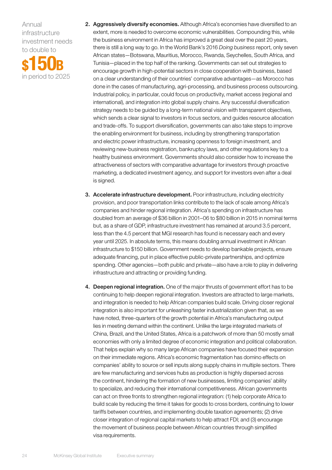Annual infrastructure investment needs to double to

\$150B in period to 2025

- 2. Aggressively diversify economies. Although Africa's economies have diversified to an extent, more is needed to overcome economic vulnerabilities. Compounding this, while the business environment in Africa has improved a great deal over the past 20 years, there is still a long way to go. In the World Bank's 2016 *Doing business* report, only seven African states—Botswana, Mauritius, Morocco, Rwanda, Seychelles, South Africa, and Tunisia—placed in the top half of the ranking. Governments can set out strategies to encourage growth in high-potential sectors in close cooperation with business, based on a clear understanding of their countries' comparative advantages—as Morocco has done in the cases of manufacturing, agri-processing, and business process outsourcing. Industrial policy, in particular, could focus on productivity, market access (regional and international), and integration into global supply chains. Any successful diversification strategy needs to be guided by a long-term national vision with transparent objectives, which sends a clear signal to investors in focus sectors, and guides resource allocation and trade-offs. To support diversification, governments can also take steps to improve the enabling environment for business, including by strengthening transportation and electric power infrastructure, increasing openness to foreign investment, and reviewing new-business registration, bankruptcy laws, and other regulations key to a healthy business environment. Governments should also consider how to increase the attractiveness of sectors with comparative advantage for investors through proactive marketing, a dedicated investment agency, and support for investors even after a deal is signed.
- 3. Accelerate infrastructure development. Poor infrastructure, including electricity provision, and poor transportation links contribute to the lack of scale among Africa's companies and hinder regional integration. Africa's spending on infrastructure has doubled from an average of \$36 billion in 2001–06 to \$80 billion in 2015 in nominal terms but, as a share of GDP, infrastructure investment has remained at around 3.5 percent, less than the 4.5 percent that MGI research has found is necessary each and every year until 2025. In absolute terms, this means doubling annual investment in African infrastructure to \$150 billion. Government needs to develop bankable projects, ensure adequate financing, put in place effective public-private partnerships, and optimize spending. Other agencies—both public and private—also have a role to play in delivering infrastructure and attracting or providing funding.
- 4. Deepen regional integration. One of the major thrusts of government effort has to be continuing to help deepen regional integration. Investors are attracted to large markets, and integration is needed to help African companies build scale. Driving closer regional integration is also important for unleashing faster industrialization given that, as we have noted, three-quarters of the growth potential in Africa's manufacturing output lies in meeting demand within the continent. Unlike the large integrated markets of China, Brazil, and the United States, Africa is a patchwork of more than 50 mostly small economies with only a limited degree of economic integration and political collaboration. That helps explain why so many large African companies have focused their expansion on their immediate regions. Africa's economic fragmentation has domino effects on companies' ability to source or sell inputs along supply chains in multiple sectors. There are few manufacturing and services hubs as production is highly dispersed across the continent, hindering the formation of new businesses, limiting companies' ability to specialize, and reducing their international competitiveness. African governments can act on three fronts to strengthen regional integration: (1) help corporate Africa to build scale by reducing the time it takes for goods to cross borders, continuing to lower tariffs between countries, and implementing double taxation agreements; (2) drive closer integration of regional capital markets to help attract FDI; and (3) encourage the movement of business people between African countries through simplified visa requirements.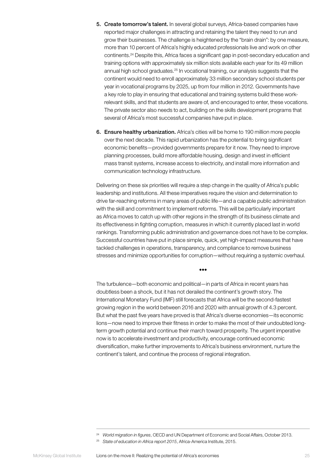- 5. Create tomorrow's talent. In several global surveys, Africa-based companies have reported major challenges in attracting and retaining the talent they need to run and grow their businesses. The challenge is heightened by the "brain drain": by one measure, more than 10 percent of Africa's highly educated professionals live and work on other continents.24 Despite this, Africa faces a significant gap in post-secondary education and training options with approximately six million slots available each year for its 49 million annual high school graduates.<sup>25</sup> In vocational training, our analysis suggests that the continent would need to enroll approximately 33 million secondary school students per year in vocational programs by 2025, up from four million in 2012. Governments have a key role to play in ensuring that educational and training systems build these workrelevant skills, and that students are aware of, and encouraged to enter, these vocations. The private sector also needs to act, building on the skills development programs that several of Africa's most successful companies have put in place.
- 6. Ensure healthy urbanization. Africa's cities will be home to 190 million more people over the next decade. This rapid urbanization has the potential to bring significant economic benefits—provided governments prepare for it now. They need to improve planning processes, build more affordable housing, design and invest in efficient mass transit systems, increase access to electricity, and install more information and communication technology infrastructure.

Delivering on these six priorities will require a step change in the quality of Africa's public leadership and institutions. All these imperatives require the vision and determination to drive far-reaching reforms in many areas of public life—and a capable public administration with the skill and commitment to implement reforms. This will be particularly important as Africa moves to catch up with other regions in the strength of its business climate and its effectiveness in fighting corruption, measures in which it currently placed last in world rankings. Transforming public administration and governance does not have to be complex. Successful countries have put in place simple, quick, yet high-impact measures that have tackled challenges in operations, transparency, and compliance to remove business stresses and minimize opportunities for corruption—without requiring a systemic overhaul.

•••

The turbulence—both economic and political—in parts of Africa in recent years has doubtless been a shock, but it has not derailed the continent's growth story. The International Monetary Fund (IMF) still forecasts that Africa will be the second-fastest growing region in the world between 2016 and 2020 with annual growth of 4.3 percent. But what the past five years have proved is that Africa's diverse economies—its economic lions—now need to improve their fitness in order to make the most of their undoubted longterm growth potential and continue their march toward prosperity. The urgent imperative now is to accelerate investment and productivity, encourage continued economic diversification, make further improvements to Africa's business environment, nurture the continent's talent, and continue the process of regional integration.

<sup>24</sup> *World migration in figures*, OECD and UN Department of Economic and Social Affairs, October 2013.

<sup>25</sup> *State of education in Africa report 2015*, Africa-America Institute, 2015.